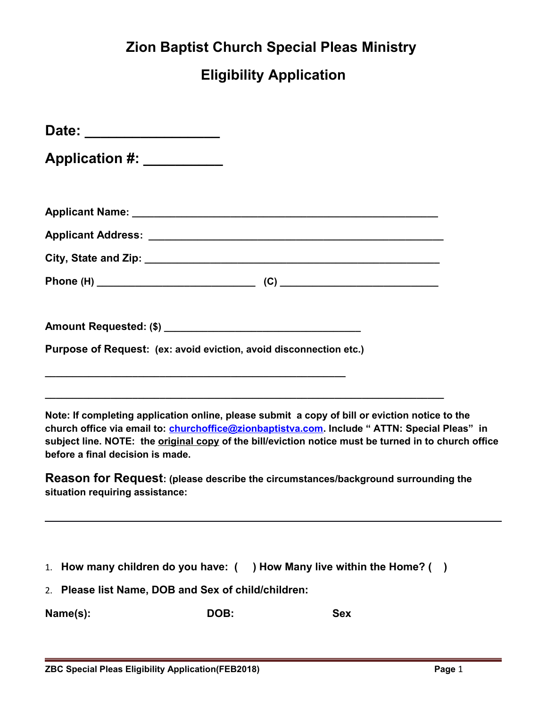## **Zion Baptist Church Special Pleas Ministry**

## **Eligibility Application**

| Date: ____________________                                         |                                                                                                                                                                                                                                                                                                                |  |
|--------------------------------------------------------------------|----------------------------------------------------------------------------------------------------------------------------------------------------------------------------------------------------------------------------------------------------------------------------------------------------------------|--|
| Application #: __________                                          |                                                                                                                                                                                                                                                                                                                |  |
|                                                                    |                                                                                                                                                                                                                                                                                                                |  |
|                                                                    |                                                                                                                                                                                                                                                                                                                |  |
|                                                                    |                                                                                                                                                                                                                                                                                                                |  |
|                                                                    |                                                                                                                                                                                                                                                                                                                |  |
|                                                                    |                                                                                                                                                                                                                                                                                                                |  |
| Purpose of Request: (ex: avoid eviction, avoid disconnection etc.) |                                                                                                                                                                                                                                                                                                                |  |
|                                                                    |                                                                                                                                                                                                                                                                                                                |  |
| before a final decision is made.                                   | Note: If completing application online, please submit a copy of bill or eviction notice to the<br>church office via email to: <i>churchoffice@zionbaptistva.com</i> . Include "ATTN: Special Pleas" in<br>subject line. NOTE: the original copy of the bill/eviction notice must be turned in to church office |  |
| situation requiring assistance:                                    | Reason for Request: (please describe the circumstances/background surrounding the                                                                                                                                                                                                                              |  |

- 1. **How many children do you have: ( ) How Many live within the Home? ( )**
- 2. **Please list Name, DOB and Sex of child/children:**

Name(s): DOB: Sex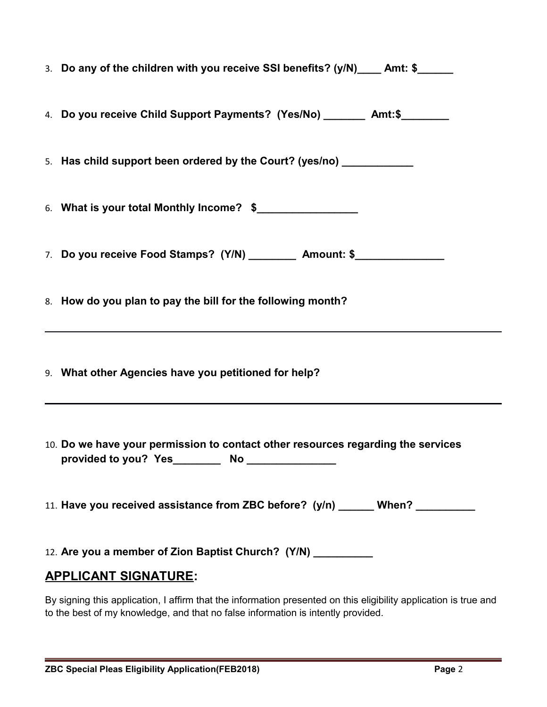| 3. Do any of the children with you receive SSI benefits? (y/N)____ Amt: \$_____                                                                 |
|-------------------------------------------------------------------------------------------------------------------------------------------------|
| 4. Do you receive Child Support Payments? (Yes/No) ________ Amt:\$________                                                                      |
| 5. Has child support been ordered by the Court? (yes/no) ____________                                                                           |
| 6. What is your total Monthly Income? \$                                                                                                        |
| 7. Do you receive Food Stamps? (Y/N) __________ Amount: \$________________                                                                      |
| 8. How do you plan to pay the bill for the following month?<br>,我们也不会有什么。""我们的人,我们也不会有什么?""我们的人,我们也不会有什么?""我们的人,我们也不会有什么?""我们的人,我们也不会有什么?""我们的人 |
| 9. What other Agencies have you petitioned for help?                                                                                            |
| 10. Do we have your permission to contact other resources regarding the services                                                                |
| 11. Have you received assistance from ZBC before? (y/n) ______ When? _________                                                                  |
| 12. Are you a member of Zion Baptist Church? (Y/N) ___________                                                                                  |
| <b>APPLICANT SIGNATURE:</b>                                                                                                                     |
| By signing this application I affirm that the information presented on this eligibility application is true and                                 |

By signing this application, I affirm that the information presented on this eligibility application is true and to the best of my knowledge, and that no false information is intently provided.